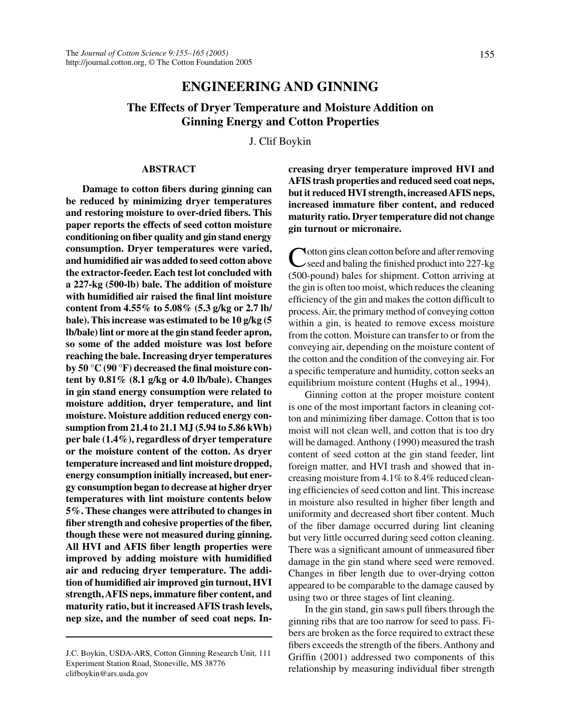# **ENGINEERING AND GINNING**

# **The Effects of Dryer Temperature and Moisture Addition on Ginning Energy and Cotton Properties**

J. Clif Boykin

#### **ABSTRACT**

**Damage to cotton fibers during ginning can be reduced by minimizing dryer temperatures and restoring moisture to over-dried fibers. This paper reports the effects of seed cotton moisture conditioning on fiber quality and gin stand energy consumption. Dryer temperatures were varied, and humidified air was added to seed cotton above the extractor-feeder. Each test lot concluded with a 227-kg (500-lb) bale. The addition of moisture with humidified air raised the final lint moisture content from 4.55% to 5.08% (5.3 g/kg or 2.7 lb/ bale). This increase was estimated to be 10 g/kg (5 lb/bale) lint or more at the gin stand feeder apron, so some of the added moisture was lost before reaching the bale. Increasing dryer temperatures by 50 °C (90 °F) decreased the final moisture content by 0.81% (8.1 g/kg or 4.0 lb/bale). Changes in gin stand energy consumption were related to moisture addition, dryer temperature, and lint moisture. Moisture addition reduced energy consumption from 21.4 to 21.1 MJ (5.94 to 5.86 kWh) per bale (1.4%), regardless of dryer temperature or the moisture content of the cotton. As dryer temperature increased and lint moisture dropped, energy consumption initially increased, but energy consumption began to decrease at higher dryer temperatures with lint moisture contents below 5%. These changes were attributed to changes in fiber strength and cohesive properties of the fiber, though these were not measured during ginning. All HVI and AFIS fiber length properties were improved by adding moisture with humidified air and reducing dryer temperature. The addition of humidified air improved gin turnout, HVI strength, AFIS neps, immature fiber content, and maturity ratio, but it increased AFIS trash levels, nep size, and the number of seed coat neps. In-** **creasing dryer temperature improved HVI and AFIS trash properties and reduced seed coat neps, but it reduced HVI strength, increased AFIS neps, increased immature fiber content, and reduced maturity ratio. Dryer temperature did not change gin turnout or micronaire.**

Cotton gins clean cotton before and after removing seed and baling the finished product into 227-kg (500-pound) bales for shipment. Cotton arriving at the gin is often too moist, which reduces the cleaning efficiency of the gin and makes the cotton difficult to process. Air, the primary method of conveying cotton within a gin, is heated to remove excess moisture from the cotton. Moisture can transfer to or from the conveying air, depending on the moisture content of the cotton and the condition of the conveying air. For a specific temperature and humidity, cotton seeks an equilibrium moisture content (Hughs et al., 1994).

Ginning cotton at the proper moisture content is one of the most important factors in cleaning cotton and minimizing fiber damage. Cotton that is too moist will not clean well, and cotton that is too dry will be damaged. Anthony (1990) measured the trash content of seed cotton at the gin stand feeder, lint foreign matter, and HVI trash and showed that increasing moisture from 4.1% to 8.4% reduced cleaning efficiencies of seed cotton and lint. This increase in moisture also resulted in higher fiber length and uniformity and decreased short fiber content. Much of the fiber damage occurred during lint cleaning but very little occurred during seed cotton cleaning. There was a significant amount of unmeasured fiber damage in the gin stand where seed were removed. Changes in fiber length due to over-drying cotton appeared to be comparable to the damage caused by using two or three stages of lint cleaning.

In the gin stand, gin saws pull fibers through the ginning ribs that are too narrow for seed to pass. Fibers are broken as the force required to extract these fibers exceeds the strength of the fibers. Anthony and Griffin (2001) addressed two components of this relationship by measuring individual fiber strength

J.C. Boykin, USDA-ARS, Cotton Ginning Research Unit, 111 Experiment Station Road, Stoneville, MS 38776 clifboykin@ars.usda.gov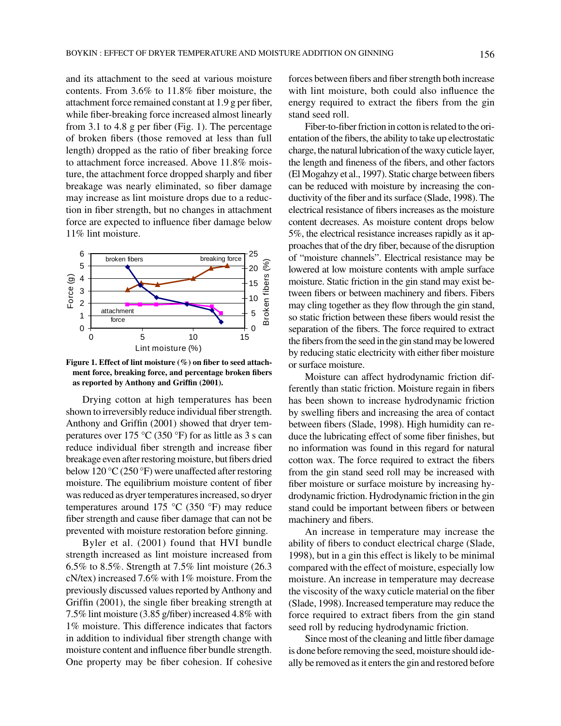and its attachment to the seed at various moisture contents. From 3.6% to 11.8% fiber moisture, the attachment force remained constant at 1.9 g per fiber, while fiber-breaking force increased almost linearly from 3.1 to 4.8 g per fiber (Fig. 1). The percentage of broken fibers (those removed at less than full length) dropped as the ratio of fiber breaking force to attachment force increased. Above 11.8% moisture, the attachment force dropped sharply and fiber breakage was nearly eliminated, so fiber damage may increase as lint moisture drops due to a reduction in fiber strength, but no changes in attachment force are expected to influence fiber damage below 11% lint moisture.



**Figure 1. Effect of lint moisture (%) on fiber to seed attachment force, breaking force, and percentage broken fibers as reported by Anthony and Griffin (2001).**

Drying cotton at high temperatures has been shown to irreversibly reduce individual fiber strength. Anthony and Griffin (2001) showed that dryer temperatures over 175  $\rm{°C}$  (350  $\rm{°F}$ ) for as little as 3 s can reduce individual fiber strength and increase fiber breakage even after restoring moisture, but fibers dried below 120 °C (250 °F) were unaffected after restoring moisture. The equilibrium moisture content of fiber was reduced as dryer temperatures increased, so dryer temperatures around 175 °C (350 °F) may reduce fiber strength and cause fiber damage that can not be prevented with moisture restoration before ginning.

Byler et al. (2001) found that HVI bundle strength increased as lint moisture increased from 6.5% to 8.5%. Strength at 7.5% lint moisture (26.3 cN/tex) increased 7.6% with 1% moisture. From the previously discussed values reported by Anthony and Griffin (2001), the single fiber breaking strength at 7.5% lint moisture (3.85 g/fiber) increased 4.8% with 1% moisture. This difference indicates that factors in addition to individual fiber strength change with moisture content and influence fiber bundle strength. One property may be fiber cohesion. If cohesive forces between fibers and fiber strength both increase with lint moisture, both could also influence the energy required to extract the fibers from the gin stand seed roll.

Fiber-to-fiber friction in cotton is related to the orientation of the fibers, the ability to take up electrostatic charge, the natural lubrication of the waxy cuticle layer, the length and fineness of the fibers, and other factors (El Mogahzy et al., 1997). Static charge between fibers can be reduced with moisture by increasing the conductivity of the fiber and its surface (Slade, 1998). The electrical resistance of fibers increases as the moisture content decreases. As moisture content drops below 5%, the electrical resistance increases rapidly as it approaches that of the dry fiber, because of the disruption of "moisture channels". Electrical resistance may be lowered at low moisture contents with ample surface moisture. Static friction in the gin stand may exist between fibers or between machinery and fibers. Fibers may cling together as they flow through the gin stand, so static friction between these fibers would resist the separation of the fibers. The force required to extract the fibers from the seed in the gin stand may be lowered by reducing static electricity with either fiber moisture or surface moisture.

Moisture can affect hydrodynamic friction differently than static friction. Moisture regain in fibers has been shown to increase hydrodynamic friction by swelling fibers and increasing the area of contact between fibers (Slade, 1998). High humidity can reduce the lubricating effect of some fiber finishes, but no information was found in this regard for natural cotton wax. The force required to extract the fibers from the gin stand seed roll may be increased with fiber moisture or surface moisture by increasing hydrodynamic friction. Hydrodynamic friction in the gin stand could be important between fibers or between machinery and fibers.

An increase in temperature may increase the ability of fibers to conduct electrical charge (Slade, 1998), but in a gin this effect is likely to be minimal compared with the effect of moisture, especially low moisture. An increase in temperature may decrease the viscosity of the waxy cuticle material on the fiber (Slade, 1998). Increased temperature may reduce the force required to extract fibers from the gin stand seed roll by reducing hydrodynamic friction.

Since most of the cleaning and little fiber damage is done before removing the seed, moisture should ideally be removed as it enters the gin and restored before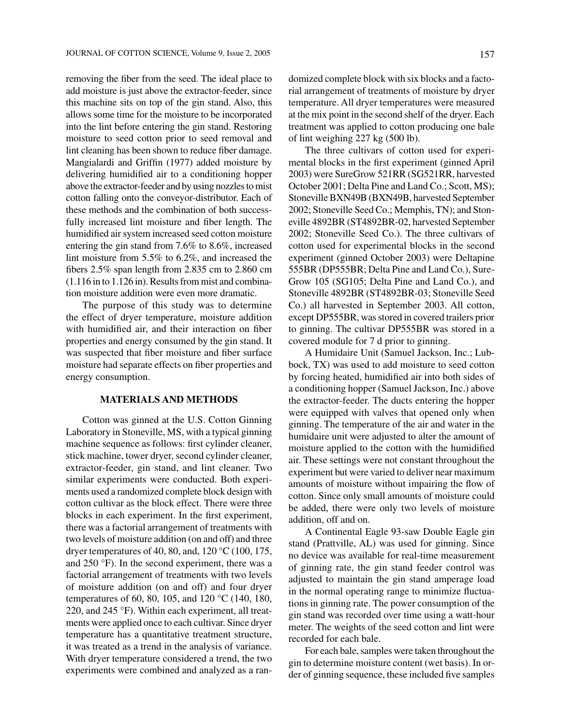removing the fiber from the seed. The ideal place to add moisture is just above the extractor-feeder, since this machine sits on top of the gin stand. Also, this allows some time for the moisture to be incorporated into the lint before entering the gin stand. Restoring moisture to seed cotton prior to seed removal and lint cleaning has been shown to reduce fiber damage. Mangialardi and Griffin (1977) added moisture by delivering humidified air to a conditioning hopper above the extractor-feeder and by using nozzles to mist cotton falling onto the conveyor-distributor. Each of these methods and the combination of both successfully increased lint moisture and fiber length. The humidified air system increased seed cotton moisture entering the gin stand from 7.6% to 8.6%, increased lint moisture from 5.5% to 6.2%, and increased the fibers 2.5% span length from 2.835 cm to 2.860 cm (1.116 in to 1.126 in). Results from mist and combination moisture addition were even more dramatic.

The purpose of this study was to determine the effect of dryer temperature, moisture addition with humidified air, and their interaction on fiber properties and energy consumed by the gin stand. It was suspected that fiber moisture and fiber surface moisture had separate effects on fiber properties and energy consumption.

### **MATERIALS AND METHODS**

Cotton was ginned at the U.S. Cotton Ginning Laboratory in Stoneville, MS, with a typical ginning machine sequence as follows: first cylinder cleaner, stick machine, tower dryer, second cylinder cleaner, extractor-feeder, gin stand, and lint cleaner. Two similar experiments were conducted. Both experiments used a randomized complete block design with cotton cultivar as the block effect. There were three blocks in each experiment. In the first experiment, there was a factorial arrangement of treatments with two levels of moisture addition (on and off) and three dryer temperatures of 40, 80, and, 120 °C (100, 175, and 250 °F). In the second experiment, there was a factorial arrangement of treatments with two levels of moisture addition (on and off) and four dryer temperatures of 60, 80, 105, and 120 °C (140, 180, 220, and 245 °F). Within each experiment, all treatments were applied once to each cultivar. Since dryer temperature has a quantitative treatment structure, it was treated as a trend in the analysis of variance. With dryer temperature considered a trend, the two experiments were combined and analyzed as a randomized complete block with six blocks and a factorial arrangement of treatments of moisture by dryer temperature. All dryer temperatures were measured at the mix point in the second shelf of the dryer. Each treatment was applied to cotton producing one bale of lint weighing 227 kg (500 lb).

The three cultivars of cotton used for experimental blocks in the first experiment (ginned April 2003) were SureGrow 521RR (SG521RR, harvested October 2001; Delta Pine and Land Co.; Scott, MS); Stoneville BXN49B (BXN49B, harvested September 2002; Stoneville Seed Co.; Memphis, TN); and Stoneville 4892BR (ST4892BR-02, harvested September 2002; Stoneville Seed Co.). The three cultivars of cotton used for experimental blocks in the second experiment (ginned October 2003) were Deltapine 555BR (DP555BR; Delta Pine and Land Co.), Sure-Grow 105 (SG105; Delta Pine and Land Co.), and Stoneville 4892BR (ST4892BR-03; Stoneville Seed Co.) all harvested in September 2003. All cotton, except DP555BR, was stored in covered trailers prior to ginning. The cultivar DP555BR was stored in a covered module for 7 d prior to ginning.

A Humidaire Unit (Samuel Jackson, Inc.; Lubbock, TX) was used to add moisture to seed cotton by forcing heated, humidified air into both sides of a conditioning hopper (Samuel Jackson, Inc.) above the extractor-feeder. The ducts entering the hopper were equipped with valves that opened only when ginning. The temperature of the air and water in the humidaire unit were adjusted to alter the amount of moisture applied to the cotton with the humidified air. These settings were not constant throughout the experiment but were varied to deliver near maximum amounts of moisture without impairing the flow of cotton. Since only small amounts of moisture could be added, there were only two levels of moisture addition, off and on.

A Continental Eagle 93-saw Double Eagle gin stand (Prattville, AL) was used for ginning. Since no device was available for real-time measurement of ginning rate, the gin stand feeder control was adjusted to maintain the gin stand amperage load in the normal operating range to minimize fluctuations in ginning rate. The power consumption of the gin stand was recorded over time using a watt-hour meter. The weights of the seed cotton and lint were recorded for each bale.

For each bale, samples were taken throughout the gin to determine moisture content (wet basis). In order of ginning sequence, these included five samples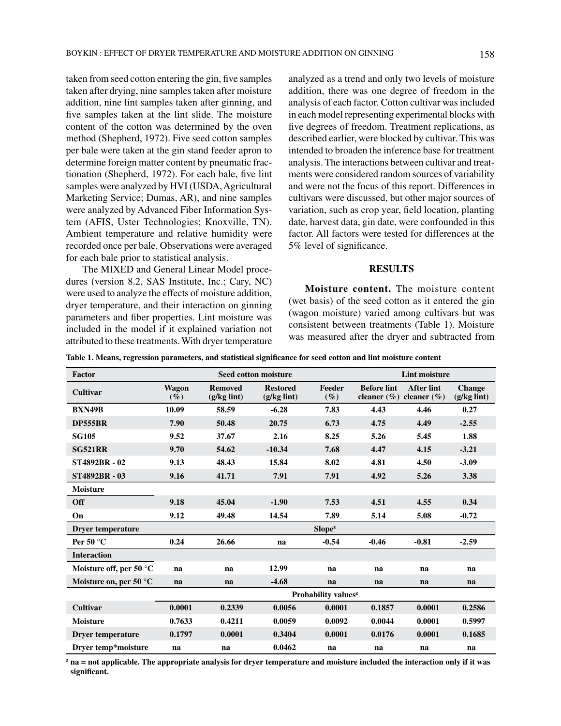taken from seed cotton entering the gin, five samples taken after drying, nine samples taken after moisture addition, nine lint samples taken after ginning, and five samples taken at the lint slide. The moisture content of the cotton was determined by the oven method (Shepherd, 1972). Five seed cotton samples per bale were taken at the gin stand feeder apron to determine foreign matter content by pneumatic fractionation (Shepherd, 1972). For each bale, five lint samples were analyzed by HVI (USDA, Agricultural Marketing Service; Dumas, AR), and nine samples were analyzed by Advanced Fiber Information System (AFIS, Uster Technologies; Knoxville, TN). Ambient temperature and relative humidity were recorded once per bale. Observations were averaged for each bale prior to statistical analysis.

The MIXED and General Linear Model procedures (version 8.2, SAS Institute, Inc.; Cary, NC) were used to analyze the effects of moisture addition, dryer temperature, and their interaction on ginning parameters and fiber properties. Lint moisture was included in the model if it explained variation not attributed to these treatments. With dryer temperature analyzed as a trend and only two levels of moisture addition, there was one degree of freedom in the analysis of each factor. Cotton cultivar was included in each model representing experimental blocks with five degrees of freedom. Treatment replications, as described earlier, were blocked by cultivar. This was intended to broaden the inference base for treatment analysis. The interactions between cultivar and treatments were considered random sources of variability and were not the focus of this report. Differences in cultivars were discussed, but other major sources of variation, such as crop year, field location, planting date, harvest data, gin date, were confounded in this factor. All factors were tested for differences at the 5% level of significance.

#### **RESULTS**

**Moisture content.** The moisture content (wet basis) of the seed cotton as it entered the gin (wagon moisture) varied among cultivars but was consistent between treatments (Table 1). Moisture was measured after the dryer and subtracted from

**Table 1. Means, regression parameters, and statistical significance for seed cotton and lint moisture content**

| Factor                           | <b>Lint moisture</b><br><b>Seed cotton moisture</b> |                                 |                                  |                    |                    |                                                      |                                        |  |
|----------------------------------|-----------------------------------------------------|---------------------------------|----------------------------------|--------------------|--------------------|------------------------------------------------------|----------------------------------------|--|
| Cultivar                         | Wagon<br>$(\%)$                                     | <b>Removed</b><br>$(g/kg$ lint) | <b>Restored</b><br>$(g/kg$ lint) | Feeder<br>$(\%)$   | <b>Before lint</b> | <b>After lint</b><br>cleaner $(\% )$ cleaner $(\% )$ | <b>Change</b><br>$(g/kg \text{ link})$ |  |
| <b>BXN49B</b>                    | 10.09                                               | 58.59                           | $-6.28$                          | 7.83               | 4.43               | 4.46                                                 | 0.27                                   |  |
| <b>DP555BR</b>                   | 7.90                                                | 50.48                           | 20.75                            | 6.73               | 4.75               | 4.49                                                 | $-2.55$                                |  |
| <b>SG105</b>                     | 9.52                                                | 37.67                           | 2.16                             | 8.25               | 5.26               | 5.45                                                 | 1.88                                   |  |
| <b>SG521RR</b>                   | 9.70                                                | 54.62                           | $-10.34$                         | 7.68               | 4.47               | 4.15                                                 | $-3.21$                                |  |
| <b>ST4892BR - 02</b>             | 9.13                                                | 48.43                           | 15.84                            | 8.02               | 4.81               | 4.50                                                 | $-3.09$                                |  |
| <b>ST4892BR - 03</b>             | 9.16                                                | 41.71                           | 7.91                             | 7.91               | 4.92               | 5.26                                                 | 3.38                                   |  |
| <b>Moisture</b>                  |                                                     |                                 |                                  |                    |                    |                                                      |                                        |  |
| Off                              | 9.18                                                | 45.04                           | $-1.90$                          | 7.53               | 4.51               | 4.55                                                 | 0.34                                   |  |
| On                               | 9.12                                                | 49.48                           | 14.54                            | 7.89               | 5.14               | 5.08                                                 | $-0.72$                                |  |
| <b>Dryer temperature</b>         |                                                     |                                 |                                  | Slope <sup>z</sup> |                    |                                                      |                                        |  |
| Per 50 $\degree$ C               | 0.24                                                | 26.66                           | na                               | $-0.54$            | $-0.46$            | $-0.81$                                              | $-2.59$                                |  |
| <b>Interaction</b>               |                                                     |                                 |                                  |                    |                    |                                                      |                                        |  |
| Moisture off, per 50 $\degree$ C | na                                                  | na                              | 12.99                            | na                 | na                 | na                                                   | na                                     |  |
| Moisture on, per 50 $\degree$ C  | na                                                  | na                              | $-4.68$                          | na                 | na                 | na                                                   | na                                     |  |
|                                  | Probability values <sup>z</sup>                     |                                 |                                  |                    |                    |                                                      |                                        |  |
| Cultivar                         | 0.0001                                              | 0.2339                          | 0.0056                           | 0.0001             | 0.1857             | 0.0001                                               | 0.2586                                 |  |
| <b>Moisture</b>                  | 0.7633                                              | 0.4211                          | 0.0059                           | 0.0092             | 0.0044             | 0.0001                                               | 0.5997                                 |  |
| <b>Dryer temperature</b>         | 0.1797                                              | 0.0001                          | 0.3404                           | 0.0001             | 0.0176             | 0.0001                                               | 0.1685                                 |  |
| Dryer temp*moisture              | na                                                  | na                              | 0.0462                           | na                 | na                 | na                                                   | na                                     |  |

**z na = not applicable. The appropriate analysis for dryer temperature and moisture included the interaction only if it was significant.**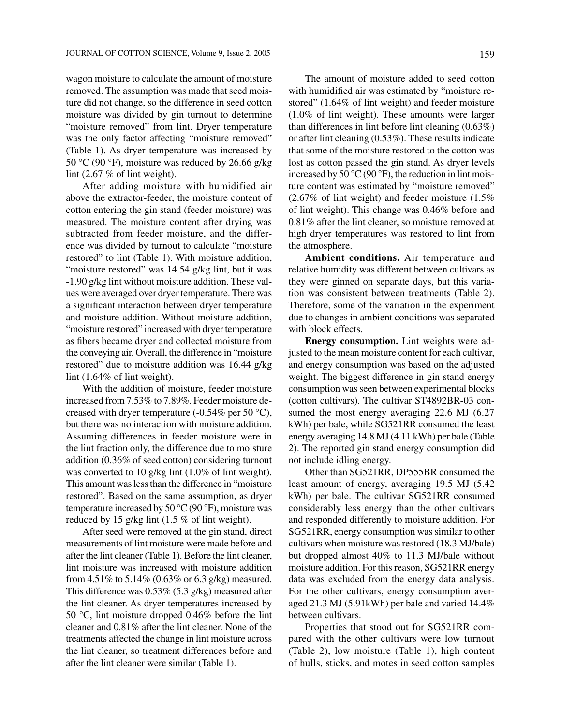wagon moisture to calculate the amount of moisture removed. The assumption was made that seed moisture did not change, so the difference in seed cotton moisture was divided by gin turnout to determine "moisture removed" from lint. Dryer temperature was the only factor affecting "moisture removed" (Table 1). As dryer temperature was increased by 50 °C (90 °F), moisture was reduced by 26.66 g/kg lint (2.67 % of lint weight).

After adding moisture with humidified air above the extractor-feeder, the moisture content of cotton entering the gin stand (feeder moisture) was measured. The moisture content after drying was subtracted from feeder moisture, and the difference was divided by turnout to calculate "moisture restored" to lint (Table 1). With moisture addition, "moisture restored" was 14.54 g/kg lint, but it was -1.90 g/kg lint without moisture addition. These values were averaged over dryer temperature. There was a significant interaction between dryer temperature and moisture addition. Without moisture addition, "moisture restored" increased with dryer temperature as fibers became dryer and collected moisture from the conveying air. Overall, the difference in "moisture restored" due to moisture addition was 16.44 g/kg lint (1.64% of lint weight).

With the addition of moisture, feeder moisture increased from 7.53% to 7.89%. Feeder moisture decreased with dryer temperature (-0.54% per 50  $^{\circ}$ C), but there was no interaction with moisture addition. Assuming differences in feeder moisture were in the lint fraction only, the difference due to moisture addition (0.36% of seed cotton) considering turnout was converted to 10 g/kg lint (1.0% of lint weight). This amount was less than the difference in "moisture restored". Based on the same assumption, as dryer temperature increased by 50  $\rm{^{\circ}C}$  (90  $\rm{^{\circ}F}$ ), moisture was reduced by 15 g/kg lint (1.5 % of lint weight).

After seed were removed at the gin stand, direct measurements of lint moisture were made before and after the lint cleaner (Table 1). Before the lint cleaner, lint moisture was increased with moisture addition from 4.51% to 5.14% (0.63% or 6.3 g/kg) measured. This difference was 0.53% (5.3 g/kg) measured after the lint cleaner. As dryer temperatures increased by 50 °C, lint moisture dropped 0.46% before the lint cleaner and 0.81% after the lint cleaner. None of the treatments affected the change in lint moisture across the lint cleaner, so treatment differences before and after the lint cleaner were similar (Table 1).

with humidified air was estimated by "moisture restored" (1.64% of lint weight) and feeder moisture (1.0% of lint weight). These amounts were larger than differences in lint before lint cleaning (0.63%) or after lint cleaning (0.53%). These results indicate that some of the moisture restored to the cotton was lost as cotton passed the gin stand. As dryer levels increased by 50  $\rm{^{\circ}C}$  (90  $\rm{^{\circ}F}$ ), the reduction in lint moisture content was estimated by "moisture removed"  $(2.67\% \text{ of } \text{lint weight})$  and feeder moisture  $(1.5\% \text{ )}$ of lint weight). This change was 0.46% before and 0.81% after the lint cleaner, so moisture removed at high dryer temperatures was restored to lint from the atmosphere.

**Ambient conditions.** Air temperature and relative humidity was different between cultivars as they were ginned on separate days, but this variation was consistent between treatments (Table 2). Therefore, some of the variation in the experiment due to changes in ambient conditions was separated with block effects.

**Energy consumption.** Lint weights were adjusted to the mean moisture content for each cultivar, and energy consumption was based on the adjusted weight. The biggest difference in gin stand energy consumption was seen between experimental blocks (cotton cultivars). The cultivar ST4892BR-03 consumed the most energy averaging 22.6 MJ (6.27 kWh) per bale, while SG521RR consumed the least energy averaging 14.8 MJ (4.11 kWh) per bale (Table 2). The reported gin stand energy consumption did not include idling energy.

Other than SG521RR, DP555BR consumed the least amount of energy, averaging 19.5 MJ (5.42 kWh) per bale. The cultivar SG521RR consumed considerably less energy than the other cultivars and responded differently to moisture addition. For SG521RR, energy consumption was similar to other cultivars when moisture was restored (18.3 MJ/bale) but dropped almost 40% to 11.3 MJ/bale without moisture addition. For this reason, SG521RR energy data was excluded from the energy data analysis. For the other cultivars, energy consumption averaged 21.3 MJ (5.91kWh) per bale and varied 14.4% between cultivars.

Properties that stood out for SG521RR compared with the other cultivars were low turnout (Table 2), low moisture (Table 1), high content of hulls, sticks, and motes in seed cotton samples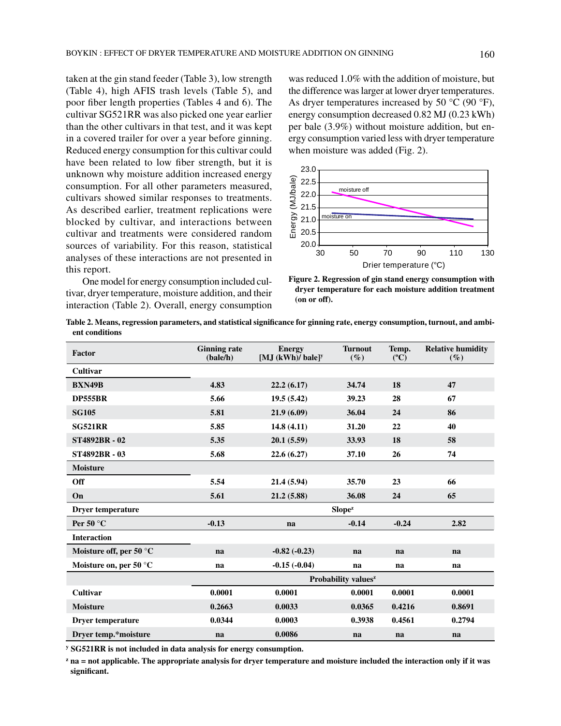taken at the gin stand feeder (Table 3), low strength (Table 4), high AFIS trash levels (Table 5), and poor fiber length properties (Tables 4 and 6). The cultivar SG521RR was also picked one year earlier than the other cultivars in that test, and it was kept in a covered trailer for over a year before ginning. Reduced energy consumption for this cultivar could have been related to low fiber strength, but it is unknown why moisture addition increased energy consumption. For all other parameters measured, cultivars showed similar responses to treatments. As described earlier, treatment replications were blocked by cultivar, and interactions between cultivar and treatments were considered random sources of variability. For this reason, statistical analyses of these interactions are not presented in this report.

One model for energy consumption included cultivar, dryer temperature, moisture addition, and their interaction (Table 2). Overall, energy consumption

was reduced 1.0% with the addition of moisture, but the difference was larger at lower dryer temperatures. As dryer temperatures increased by 50  $^{\circ}$ C (90  $^{\circ}$ F), energy consumption decreased 0.82 MJ (0.23 kWh) per bale (3.9%) without moisture addition, but energy consumption varied less with dryer temperature when moisture was added (Fig. 2).



**Figure 2. Regression of gin stand energy consumption with dryer temperature for each moisture addition treatment (on or off).**

**Table 2. Means, regression parameters, and statistical significance for ginning rate, energy consumption, turnout, and ambient conditions**

| Factor                          | <b>Ginning rate</b><br>(bale/h) | <b>Energy</b><br>[M.J $(kWh)/$ bale] <sup>y</sup> | <b>Turnout</b><br>$(\%)$ | Temp.<br>$(^{\circ}C)$ | <b>Relative humidity</b><br>$(\%)$ |  |  |
|---------------------------------|---------------------------------|---------------------------------------------------|--------------------------|------------------------|------------------------------------|--|--|
| Cultivar                        |                                 |                                                   |                          |                        |                                    |  |  |
| <b>BXN49B</b>                   | 4.83                            | 22.2(6.17)                                        | 34.74                    | 18                     | 47                                 |  |  |
| <b>DP555BR</b>                  | 5.66                            | 19.5(5.42)                                        | 39.23                    | 28                     | 67                                 |  |  |
| <b>SG105</b>                    | 5.81                            | 21.9(6.09)                                        | 36.04                    | 24                     | 86                                 |  |  |
| <b>SG521RR</b>                  | 5.85                            | 14.8(4.11)                                        | 31.20                    | 22                     | 40                                 |  |  |
| <b>ST4892BR - 02</b>            | 5.35                            | 20.1(5.59)                                        | 33.93                    | 18                     | 58                                 |  |  |
| <b>ST4892BR - 03</b>            | 5.68                            | 22.6(6.27)                                        | 37.10                    | 26                     | 74                                 |  |  |
| <b>Moisture</b>                 |                                 |                                                   |                          |                        |                                    |  |  |
| Off                             | 5.54                            | 21.4(5.94)                                        | 35.70                    | 23                     | 66                                 |  |  |
| On                              | 5.61                            | 21.2(5.88)                                        | 36.08                    | 24                     | 65                                 |  |  |
| <b>Dryer temperature</b>        |                                 |                                                   | Slope <sup>z</sup>       |                        |                                    |  |  |
| Per 50 $\degree$ C              | $-0.13$                         | na                                                | $-0.14$                  | $-0.24$                | 2.82                               |  |  |
| <b>Interaction</b>              |                                 |                                                   |                          |                        |                                    |  |  |
| Moisture off, per 50 °C         | na                              | $-0.82(-0.23)$                                    | na                       | na                     | na                                 |  |  |
| Moisture on, per 50 $\degree$ C | na                              | $-0.15(-0.04)$                                    | na                       | na                     | na                                 |  |  |
|                                 | Probability values <sup>z</sup> |                                                   |                          |                        |                                    |  |  |
| Cultivar                        | 0.0001                          | 0.0001                                            | 0.0001                   | 0.0001                 | 0.0001                             |  |  |
| <b>Moisture</b>                 | 0.2663                          | 0.0033                                            | 0.0365                   | 0.4216                 | 0.8691                             |  |  |
| <b>Dryer temperature</b>        | 0.0344                          | 0.0003                                            | 0.3938                   | 0.4561                 | 0.2794                             |  |  |
| Dryer temp.*moisture            | na                              | 0.0086                                            | na                       | na                     | na                                 |  |  |

**y SG521RR is not included in data analysis for energy consumption.**

**z na = not applicable. The appropriate analysis for dryer temperature and moisture included the interaction only if it was significant.**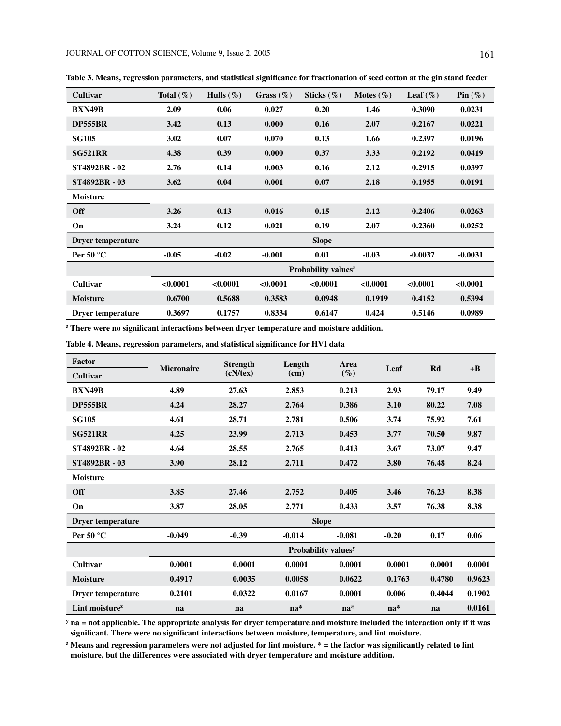| Cultivar                 | Total $(\% )$ | Hulls $(\% )$ | Grass $(\% )$ | Sticks $(\%)$                   | Motes $(\% )$ | Leaf $(\% )$ | Pin $(\%)$ |
|--------------------------|---------------|---------------|---------------|---------------------------------|---------------|--------------|------------|
| <b>BXN49B</b>            | 2.09          | 0.06          | 0.027         | 0.20                            | 1.46          | 0.3090       | 0.0231     |
| <b>DP555BR</b>           | 3.42          | 0.13          | 0.000         | 0.16                            | 2.07          | 0.2167       | 0.0221     |
| <b>SG105</b>             | 3.02          | 0.07          | 0.070         | 0.13                            | 1.66          | 0.2397       | 0.0196     |
| <b>SG521RR</b>           | 4.38          | 0.39          | 0.000         | 0.37                            | 3.33          | 0.2192       | 0.0419     |
| <b>ST4892BR - 02</b>     | 2.76          | 0.14          | 0.003         | 0.16                            | 2.12          | 0.2915       | 0.0397     |
| <b>ST4892BR - 03</b>     | 3.62          | 0.04          | 0.001         | 0.07                            | 2.18          | 0.1955       | 0.0191     |
| <b>Moisture</b>          |               |               |               |                                 |               |              |            |
| <b>Off</b>               | 3.26          | 0.13          | 0.016         | 0.15                            | 2.12          | 0.2406       | 0.0263     |
| On                       | 3.24          | 0.12          | 0.021         | 0.19                            | 2.07          | 0.2360       | 0.0252     |
| <b>Dryer temperature</b> |               |               |               | <b>Slope</b>                    |               |              |            |
| Per 50 $\degree$ C       | $-0.05$       | $-0.02$       | $-0.001$      | 0.01                            | $-0.03$       | $-0.0037$    | $-0.0031$  |
|                          |               |               |               | Probability values <sup>z</sup> |               |              |            |
| Cultivar                 | < 0.0001      | < 0.0001      | < 0.0001      | < 0.0001                        | < 0.0001      | < 0.0001     | < 0.0001   |
| <b>Moisture</b>          | 0.6700        | 0.5688        | 0.3583        | 0.0948                          | 0.1919        | 0.4152       | 0.5394     |
| Dryer temperature        | 0.3697        | 0.1757        | 0.8334        | 0.6147                          | 0.424         | 0.5146       | 0.0989     |

**Table 3. Means, regression parameters, and statistical significance for fractionation of seed cotton at the gin stand feeder**

**z There were no significant interactions between dryer temperature and moisture addition.**

**Table 4. Means, regression parameters, and statistical significance for HVI data**

| Factor                     | <b>Micronaire</b>               | <b>Strength</b> | Length       | Area     | Leaf    | Rd     | $+{\bf B}$ |  |
|----------------------------|---------------------------------|-----------------|--------------|----------|---------|--------|------------|--|
| Cultivar                   |                                 | (cN/tex)        | (cm)         | $(\%)$   |         |        |            |  |
| <b>BXN49B</b>              | 4.89                            | 27.63           | 2.853        | 0.213    | 2.93    | 79.17  | 9.49       |  |
| <b>DP555BR</b>             | 4.24                            | 28.27           | 2.764        | 0.386    | 3.10    | 80.22  | 7.08       |  |
| <b>SG105</b>               | 4.61                            | 28.71           | 2.781        | 0.506    | 3.74    | 75.92  | 7.61       |  |
| <b>SG521RR</b>             | 4.25                            | 23.99           | 2.713        | 0.453    | 3.77    | 70.50  | 9.87       |  |
| <b>ST4892BR - 02</b>       | 4.64                            | 28.55           | 2.765        | 0.413    | 3.67    | 73.07  | 9.47       |  |
| <b>ST4892BR - 03</b>       | 3.90                            | 28.12           | 2.711        | 0.472    | 3.80    | 76.48  | 8.24       |  |
| <b>Moisture</b>            |                                 |                 |              |          |         |        |            |  |
| Off                        | 3.85                            | 27.46           | 2.752        | 0.405    | 3.46    | 76.23  | 8.38       |  |
| On                         | 3.87                            | 28.05           | 2.771        | 0.433    | 3.57    | 76.38  | 8.38       |  |
| <b>Dryer temperature</b>   |                                 |                 | <b>Slope</b> |          |         |        |            |  |
| Per 50 $\degree$ C         | $-0.049$                        | $-0.39$         | $-0.014$     | $-0.081$ | $-0.20$ | 0.17   | 0.06       |  |
|                            | Probability values <sup>y</sup> |                 |              |          |         |        |            |  |
| Cultivar                   | 0.0001                          | 0.0001          | 0.0001       | 0.0001   | 0.0001  | 0.0001 | 0.0001     |  |
| <b>Moisture</b>            | 0.4917                          | 0.0035          | 0.0058       | 0.0622   | 0.1763  | 0.4780 | 0.9623     |  |
| Dryer temperature          | 0.2101                          | 0.0322          | 0.0167       | 0.0001   | 0.006   | 0.4044 | 0.1902     |  |
| Lint moisture <sup>z</sup> | na                              | na              | $na*$        | $na*$    | $na*$   | na     | 0.0161     |  |

**y na = not applicable. The appropriate analysis for dryer temperature and moisture included the interaction only if it was significant. There were no significant interactions between moisture, temperature, and lint moisture.**

**z Means and regression parameters were not adjusted for lint moisture. \* = the factor was significantly related to lint moisture, but the differences were associated with dryer temperature and moisture addition.**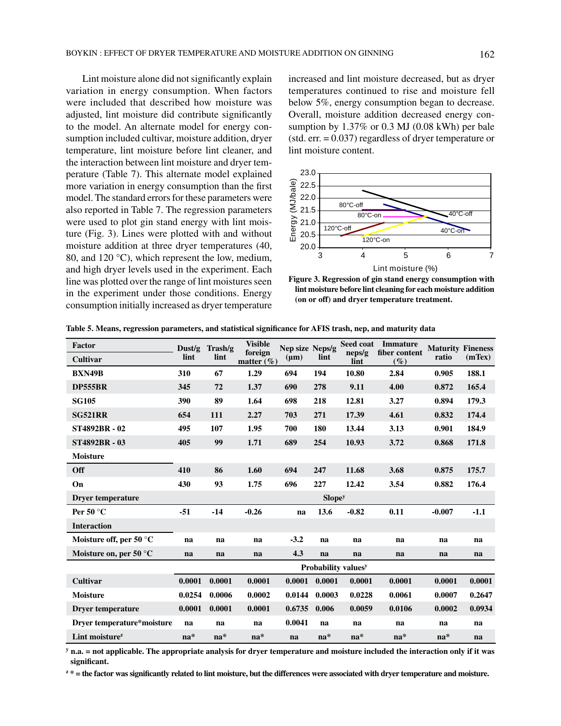Lint moisture alone did not significantly explain variation in energy consumption. When factors were included that described how moisture was adjusted, lint moisture did contribute significantly to the model. An alternate model for energy consumption included cultivar, moisture addition, dryer temperature, lint moisture before lint cleaner, and the interaction between lint moisture and dryer temperature (Table 7). This alternate model explained more variation in energy consumption than the first model. The standard errors for these parameters were also reported in Table 7. The regression parameters were used to plot gin stand energy with lint moisture (Fig. 3). Lines were plotted with and without moisture addition at three dryer temperatures (40, 80, and 120 °C), which represent the low, medium, and high dryer levels used in the experiment. Each line was plotted over the range of lint moistures seen in the experiment under those conditions. Energy consumption initially increased as dryer temperature increased and lint moisture decreased, but as dryer temperatures continued to rise and moisture fell below 5%, energy consumption began to decrease. Overall, moisture addition decreased energy consumption by 1.37% or 0.3 MJ (0.08 kWh) per bale (std. err. = 0.037) regardless of dryer temperature or lint moisture content.



**Figure 3. Regression of gin stand energy consumption with lint moisture before lint cleaning for each moisture addition (on or off) and dryer temperature treatment.**

| <b>Factor</b>                    | Dust/g | Trash/g | <b>Visible</b><br>foreign | Nep size Neps/g |                    | Seed coat<br>neps/g                    | <b>Immature</b><br>fiber content | <b>Maturity Fineness</b> |        |
|----------------------------------|--------|---------|---------------------------|-----------------|--------------------|----------------------------------------|----------------------------------|--------------------------|--------|
| Cultivar                         | lint   | lint    | matter $(\% )$            | $(\mu m)$       | lint               | lint                                   | $(\%)$                           | ratio                    | (mTex) |
| <b>BXN49B</b>                    | 310    | 67      | 1.29                      | 694             | 194                | 10.80                                  | 2.84                             | 0.905                    | 188.1  |
| <b>DP555BR</b>                   | 345    | 72      | 1.37                      | 690             | 278                | 9.11                                   | 4.00                             | 0.872                    | 165.4  |
| <b>SG105</b>                     | 390    | 89      | 1.64                      | 698             | 218                | 12.81                                  | 3.27                             | 0.894                    | 179.3  |
| <b>SG521RR</b>                   | 654    | 111     | 2.27                      | 703             | 271                | 17.39                                  | 4.61                             | 0.832                    | 174.4  |
| <b>ST4892BR - 02</b>             | 495    | 107     | 1.95                      | 700             | 180                | 13.44                                  | 3.13                             | 0.901                    | 184.9  |
| <b>ST4892BR - 03</b>             | 405    | 99      | 1.71                      | 689             | 254                | 10.93                                  | 3.72                             | 0.868                    | 171.8  |
| <b>Moisture</b>                  |        |         |                           |                 |                    |                                        |                                  |                          |        |
| Off                              | 410    | 86      | 1.60                      | 694             | 247                | 11.68                                  | 3.68                             | 0.875                    | 175.7  |
| On                               | 430    | 93      | 1.75                      | 696             | 227                | 12.42                                  | 3.54                             | 0.882                    | 176.4  |
| <b>Dryer temperature</b>         |        |         |                           |                 | Slope <sup>y</sup> |                                        |                                  |                          |        |
| Per 50 $\degree$ C               | $-51$  | $-14$   | $-0.26$                   | na              | 13.6               | $-0.82$                                | 0.11                             | $-0.007$                 | $-1.1$ |
| <b>Interaction</b>               |        |         |                           |                 |                    |                                        |                                  |                          |        |
| Moisture off, per 50 $\degree$ C | na     | na      | na                        | $-3.2$          | na                 | na                                     | na                               | na                       | na     |
| Moisture on, per 50 $\degree$ C  | na     | na      | na                        | 4.3             | na                 | na                                     | na                               | na                       | na     |
|                                  |        |         |                           |                 |                    | <b>Probability values</b> <sup>y</sup> |                                  |                          |        |
| <b>Cultivar</b>                  | 0.0001 | 0.0001  | 0.0001                    | 0.0001          | 0.0001             | 0.0001                                 | 0.0001                           | 0.0001                   | 0.0001 |
| <b>Moisture</b>                  | 0.0254 | 0.0006  | 0.0002                    | 0.0144          | 0.0003             | 0.0228                                 | 0.0061                           | 0.0007                   | 0.2647 |
| <b>Dryer temperature</b>         | 0.0001 | 0.0001  | 0.0001                    | 0.6735          | 0.006              | 0.0059                                 | 0.0106                           | 0.0002                   | 0.0934 |
| Dryer temperature*moisture       | na     | na      | na                        | 0.0041          | na                 | na                                     | na                               | na                       | na     |
| Lint moisture <sup>z</sup>       | $na*$  | $na*$   | $na*$                     | na              | $na*$              | $na*$                                  | $na*$                            | $na*$                    | na     |

**Table 5. Means, regression parameters, and statistical significance for AFIS trash, nep, and maturity data**

**y n.a. = not applicable. The appropriate analysis for dryer temperature and moisture included the interaction only if it was significant.**

**z \* = the factor was significantly related to lint moisture, but the differences were associated with dryer temperature and moisture.**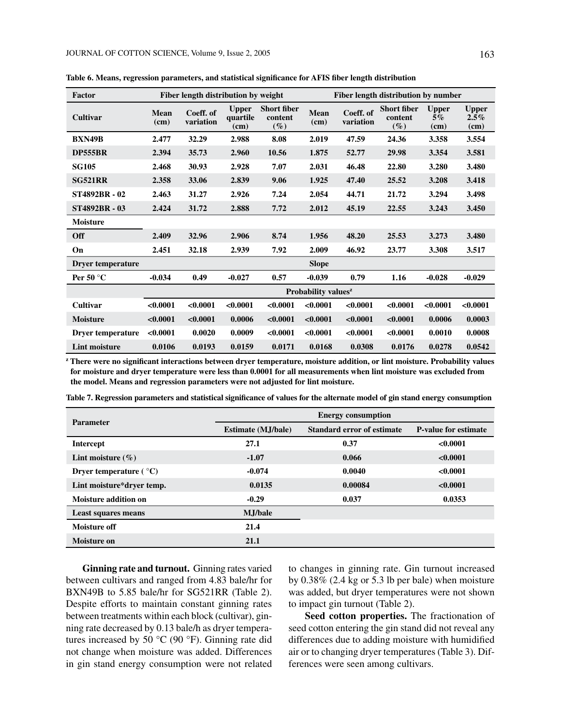| Factor                   | Fiber length distribution by weight<br>Fiber length distribution by number |                        |                                  |                                         |              |                        |                                         |                            |                              |
|--------------------------|----------------------------------------------------------------------------|------------------------|----------------------------------|-----------------------------------------|--------------|------------------------|-----------------------------------------|----------------------------|------------------------------|
| Cultivar                 | Mean<br>(cm)                                                               | Coeff. of<br>variation | <b>Upper</b><br>quartile<br>(cm) | <b>Short fiber</b><br>content<br>$(\%)$ | Mean<br>(cm) | Coeff. of<br>variation | <b>Short fiber</b><br>content<br>$(\%)$ | <b>Upper</b><br>5%<br>(cm) | <b>Upper</b><br>2.5%<br>(cm) |
| <b>BXN49B</b>            | 2.477                                                                      | 32.29                  | 2.988                            | 8.08                                    | 2.019        | 47.59                  | 24.36                                   | 3.358                      | 3.554                        |
| <b>DP555BR</b>           | 2.394                                                                      | 35.73                  | 2.960                            | 10.56                                   | 1.875        | 52.77                  | 29.98                                   | 3.354                      | 3.581                        |
| <b>SG105</b>             | 2.468                                                                      | 30.93                  | 2.928                            | 7.07                                    | 2.031        | 46.48                  | 22.80                                   | 3.280                      | 3.480                        |
| <b>SG521RR</b>           | 2.358                                                                      | 33.06                  | 2.839                            | 9.06                                    | 1.925        | 47.40                  | 25.52                                   | 3.208                      | 3.418                        |
| <b>ST4892BR - 02</b>     | 2.463                                                                      | 31.27                  | 2.926                            | 7.24                                    | 2.054        | 44.71                  | 21.72                                   | 3.294                      | 3.498                        |
| <b>ST4892BR - 03</b>     | 2.424                                                                      | 31.72                  | 2.888                            | 7.72                                    | 2.012        | 45.19                  | 22.55                                   | 3.243                      | 3.450                        |
| Moisture                 |                                                                            |                        |                                  |                                         |              |                        |                                         |                            |                              |
| Off                      | 2.409                                                                      | 32.96                  | 2.906                            | 8.74                                    | 1.956        | 48.20                  | 25.53                                   | 3.273                      | 3.480                        |
| On                       | 2.451                                                                      | 32.18                  | 2.939                            | 7.92                                    | 2.009        | 46.92                  | 23.77                                   | 3.308                      | 3.517                        |
| <b>Dryer temperature</b> |                                                                            |                        |                                  |                                         | <b>Slope</b> |                        |                                         |                            |                              |
| Per 50 $\degree$ C       | $-0.034$                                                                   | 0.49                   | $-0.027$                         | 0.57                                    | $-0.039$     | 0.79                   | 1.16                                    | $-0.028$                   | $-0.029$                     |
|                          | Probability values <sup>z</sup>                                            |                        |                                  |                                         |              |                        |                                         |                            |                              |
| Cultivar                 | < 0.0001                                                                   | < 0.0001               | < 0.0001                         | < 0.0001                                | < 0.0001     | < 0.0001               | < 0.0001                                | < 0.0001                   | < 0.0001                     |
| <b>Moisture</b>          | < 0.0001                                                                   | < 0.0001               | 0.0006                           | < 0.0001                                | < 0.0001     | < 0.0001               | < 0.0001                                | 0.0006                     | 0.0003                       |
| Dryer temperature        | < 0.0001                                                                   | 0.0020                 | 0.0009                           | < 0.0001                                | < 0.0001     | < 0.0001               | < 0.0001                                | 0.0010                     | 0.0008                       |
| <b>Lint moisture</b>     | 0.0106                                                                     | 0.0193                 | 0.0159                           | 0.0171                                  | 0.0168       | 0.0308                 | 0.0176                                  | 0.0278                     | 0.0542                       |

**Table 6. Means, regression parameters, and statistical significance for AFIS fiber length distribution**

**z There were no significant interactions between dryer temperature, moisture addition, or lint moisture. Probability values for moisture and dryer temperature were less than 0.0001 for all measurements when lint moisture was excluded from the model. Means and regression parameters were not adjusted for lint moisture.**

| Table 7. Regression parameters and statistical significance of values for the alternate model of gin stand energy consumption |  |
|-------------------------------------------------------------------------------------------------------------------------------|--|
|                                                                                                                               |  |

| <b>Parameter</b>                | <b>Energy consumption</b>  |                            |                             |  |  |  |  |  |
|---------------------------------|----------------------------|----------------------------|-----------------------------|--|--|--|--|--|
|                                 | <b>Estimate</b> (M.J/bale) | Standard error of estimate | <b>P-value for estimate</b> |  |  |  |  |  |
| Intercept                       | 27.1                       | 0.37                       | < 0.0001                    |  |  |  |  |  |
| Lint moisture $(\% )$           | $-1.07$                    | 0.066                      | < 0.0001                    |  |  |  |  |  |
| Dryer temperature $(^{\circ}C)$ | $-0.074$                   | 0.0040                     | < 0.0001                    |  |  |  |  |  |
| Lint moisture*dryer temp.       | 0.0135                     | 0.00084                    | < 0.0001                    |  |  |  |  |  |
| <b>Moisture addition on</b>     | $-0.29$                    | 0.037                      | 0.0353                      |  |  |  |  |  |
| Least squares means             | <b>M</b> .J/bale           |                            |                             |  |  |  |  |  |
| Moisture off                    | 21.4                       |                            |                             |  |  |  |  |  |
| Moisture on                     | 21.1                       |                            |                             |  |  |  |  |  |

**Ginning rate and turnout.** Ginning rates varied between cultivars and ranged from 4.83 bale/hr for BXN49B to 5.85 bale/hr for SG521RR (Table 2). Despite efforts to maintain constant ginning rates between treatments within each block (cultivar), ginning rate decreased by 0.13 bale/h as dryer temperatures increased by 50 °C (90 °F). Ginning rate did not change when moisture was added. Differences in gin stand energy consumption were not related

to changes in ginning rate. Gin turnout increased by 0.38% (2.4 kg or 5.3 lb per bale) when moisture was added, but dryer temperatures were not shown to impact gin turnout (Table 2).

**Seed cotton properties.** The fractionation of seed cotton entering the gin stand did not reveal any differences due to adding moisture with humidified air or to changing dryer temperatures (Table 3). Differences were seen among cultivars.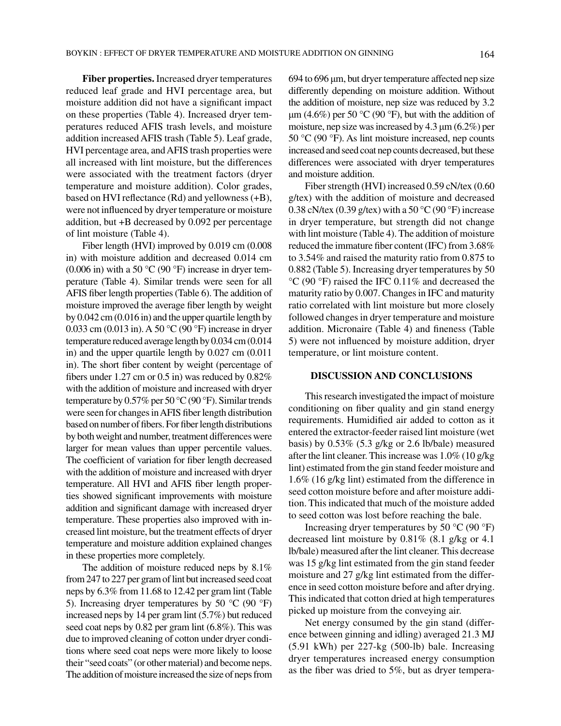**Fiber properties.** Increased dryer temperatures reduced leaf grade and HVI percentage area, but moisture addition did not have a significant impact on these properties (Table 4). Increased dryer temperatures reduced AFIS trash levels, and moisture addition increased AFIS trash (Table 5). Leaf grade, HVI percentage area, and AFIS trash properties were all increased with lint moisture, but the differences were associated with the treatment factors (dryer temperature and moisture addition). Color grades, based on HVI reflectance (Rd) and yellowness (+B), were not influenced by dryer temperature or moisture addition, but +B decreased by 0.092 per percentage of lint moisture (Table 4).

Fiber length (HVI) improved by 0.019 cm (0.008 in) with moisture addition and decreased 0.014 cm (0.006 in) with a 50  $\rm{^{\circ}C}$  (90  $\rm{^{\circ}F}$ ) increase in dryer temperature (Table 4). Similar trends were seen for all AFIS fiber length properties (Table 6). The addition of moisture improved the average fiber length by weight by 0.042 cm (0.016 in) and the upper quartile length by 0.033 cm (0.013 in). A 50 °C (90 °F) increase in dryer temperature reduced average length by 0.034 cm (0.014 in) and the upper quartile length by 0.027 cm (0.011 in). The short fiber content by weight (percentage of fibers under 1.27 cm or 0.5 in) was reduced by 0.82% with the addition of moisture and increased with dryer temperature by 0.57% per 50 °C (90 °F). Similar trends were seen for changes in AFIS fiber length distribution based on number of fibers. For fiber length distributions by both weight and number, treatment differences were larger for mean values than upper percentile values. The coefficient of variation for fiber length decreased with the addition of moisture and increased with dryer temperature. All HVI and AFIS fiber length properties showed significant improvements with moisture addition and significant damage with increased dryer temperature. These properties also improved with increased lint moisture, but the treatment effects of dryer temperature and moisture addition explained changes in these properties more completely.

The addition of moisture reduced neps by 8.1% from 247 to 227 per gram of lint but increased seed coat neps by 6.3% from 11.68 to 12.42 per gram lint (Table 5). Increasing dryer temperatures by 50  $^{\circ}$ C (90  $^{\circ}$ F) increased neps by 14 per gram lint (5.7%) but reduced seed coat neps by 0.82 per gram lint (6.8%). This was due to improved cleaning of cotton under dryer conditions where seed coat neps were more likely to loose their "seed coats" (or other material) and become neps. The addition of moisture increased the size of neps from 694 to 696 μm, but dryer temperature affected nep size differently depending on moisture addition. Without the addition of moisture, nep size was reduced by 3.2 μm (4.6%) per 50 °C (90 °F), but with the addition of moisture, nep size was increased by 4.3 μm (6.2%) per 50 °C (90 °F). As lint moisture increased, nep counts increased and seed coat nep counts decreased, but these differences were associated with dryer temperatures and moisture addition.

Fiber strength (HVI) increased 0.59 cN/tex (0.60 g/tex) with the addition of moisture and decreased 0.38 cN/tex (0.39 g/tex) with a 50  $^{\circ}$ C (90  $^{\circ}$ F) increase in dryer temperature, but strength did not change with lint moisture (Table 4). The addition of moisture reduced the immature fiber content (IFC) from 3.68% to 3.54% and raised the maturity ratio from 0.875 to 0.882 (Table 5). Increasing dryer temperatures by 50 °C (90 °F) raised the IFC 0.11% and decreased the maturity ratio by 0.007. Changes in IFC and maturity ratio correlated with lint moisture but more closely followed changes in dryer temperature and moisture addition. Micronaire (Table 4) and fineness (Table 5) were not influenced by moisture addition, dryer temperature, or lint moisture content.

## **DISCUSSION AND CONCLUSIONS**

This research investigated the impact of moisture conditioning on fiber quality and gin stand energy requirements. Humidified air added to cotton as it entered the extractor-feeder raised lint moisture (wet basis) by 0.53% (5.3 g/kg or 2.6 lb/bale) measured after the lint cleaner. This increase was 1.0% (10 g/kg lint) estimated from the gin stand feeder moisture and 1.6% (16 g/kg lint) estimated from the difference in seed cotton moisture before and after moisture addition. This indicated that much of the moisture added to seed cotton was lost before reaching the bale.

Increasing dryer temperatures by 50  $^{\circ}$ C (90  $^{\circ}$ F) decreased lint moisture by 0.81% (8.1 g/kg or 4.1 lb/bale) measured after the lint cleaner. This decrease was 15 g/kg lint estimated from the gin stand feeder moisture and 27 g/kg lint estimated from the difference in seed cotton moisture before and after drying. This indicated that cotton dried at high temperatures picked up moisture from the conveying air.

Net energy consumed by the gin stand (difference between ginning and idling) averaged 21.3 MJ (5.91 kWh) per 227-kg (500-lb) bale. Increasing dryer temperatures increased energy consumption as the fiber was dried to 5%, but as dryer tempera